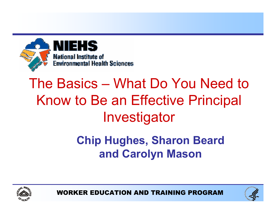

# The Basics – What Do You Need to Know to Be an Effective Principal Investigator

### Chip Hughes, Sharon Beard and Carolyn Mason





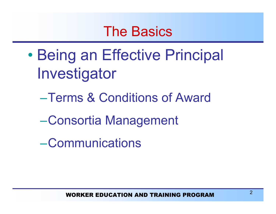### The Basics

- $\bullet$ **• Being an Effective Principal** Investigator
	- –Terms & Conditions of Award
	- –Consortia Management
	- –Communications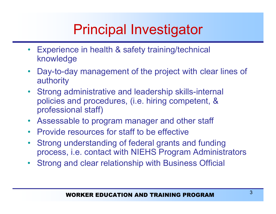# Principal Investigator

- • Experience in health & safety training/technical knowledge
- •Day-to-day management of the project with clear lines of authority
- •Strong administrative and leadership skills-internal policies and procedures, (i.e. hiring competent, & professional staff)
- Assessable to program manager and other staff
- Provide resources for staff to be effective
- $\bullet$  Strong understanding of federal grants and funding process, i.e. contact with NIEHS Program Administrators
- •Strong and clear relationship with Business Official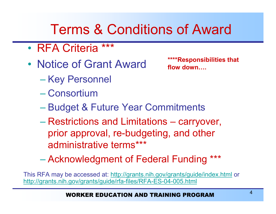## Terms & Conditions of Award

- RFA Criteria \*\*\*
- Notice of Grant Award **\*\*\*\*Responsibilities that** 
	- Key Personnel
	- Consortium

flow down….

- Budget & Future Year Commitments
- Restrictions and Limitations carryover, prior approval, re-budgeting, and other administrative terms\*\*\*
- Acknowledgment of Federal Funding \*\*\*

This RFA may be accessed at: http://grants.nih.gov/grants/guide/index.html or http://grants.nih.gov/grants/guide/rfa-files/RFA-ES-04-005.html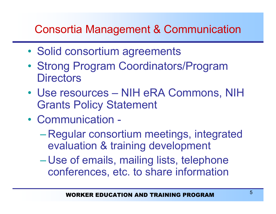### Consortia Management & Communication

- Solid consortium agreements
- • Strong Program Coordinators/Program **Directors**
- Use resources NIH eRA Commons, NIH Grants Policy Statement
- Communication -
	- – Regular consortium meetings, integrated evaluation & training development
	- $\mathcal{L}_{\mathcal{A}}$  , and the set of the set of the set of the set of the set of the set of the set of the set of the set of the set of the set of the set of the set of the set of the set of the set of the set of the set of th Use of emails, mailing lists, telephone conferences, etc. to share information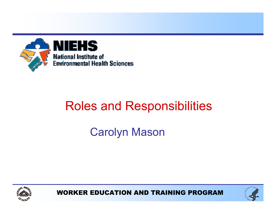

### Roles and Responsibilities

### Carolyn Mason



WORKER EDUCATION AND TRAINING PROGRAM

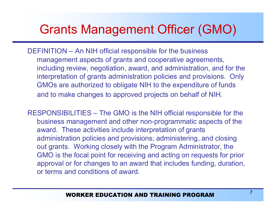### Grants Management Officer (GMO)

- DEFINITION An NIH official responsible for the business management aspects of grants and cooperative agreements, including review, negotiation, award, and administration, and for the interpretation of grants administration policies and provisions. Only GMOs are authorized to obligate NIH to the expenditure of funds and to make changes to approved projects on behalf of NIH.
- RESPONSIBILITIES The GMO is the NIH official responsible for the business management and other non-programmatic aspects of the award. These activities include interpretation of grants administration policies and provisions; administering, and closing out grants. Working closely with the Program Administrator, the GMO is the focal point for receiving and acting on requests for prior approval or for changes to an award that includes funding, duration, or terms and conditions of award.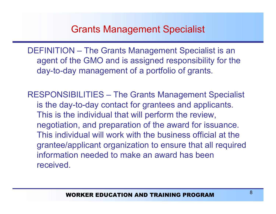#### Grants Management Specialist

DEFINITION – The Grants Management Specialist is an agent of the GMO and is assigned responsibility for the day-to-day management of a portfolio of grants.

RESPONSIBILITIES – The Grants Management Specialist is the day-to-day contact for grantees and applicants. This is the individual that will perform the review, negotiation, and preparation of the award for issuance. This individual will work with the business official at the grantee/applicant organization to ensure that all required information needed to make an award has been received.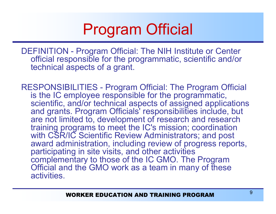# Program Official

DEFINITION - Program Official: The NIH Institute or Center official responsible for the programmatic, scientific and/or technical aspects of <sup>a</sup> grant.

RESPONSIBILITIES - Program Official: The Program Official is the IC employee responsible for the programmatic, scientific, and/or technical aspects of assigned applications and grants. Program Officials' responsibilities include, but are not limited to, development of research and research training programs to meet the IC's mission; coordination with CSR/IC Scientific Review Administrators; and post award administration, including review of progress reports, participating in site visits, and other activities complementary to those of the IC GMO. The Program Official and the GMO work as a team in many of these activities.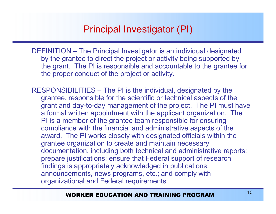#### Principal Investigator (PI)

DEFINITION – The Principal Investigator is an individual designated by the grantee to direct the project or activity being supported by the grant. The PI is responsible and accountable to the grantee for the proper conduct of the project or activity.

RESPONSIBILITIES – The PI is the individual, designated by the grantee, responsible for the scientific or technical aspects of the grant and day-to-day management of the project. The PI must have a formal written appointment with the applicant organization. The PI is a member of the grantee team responsible for ensuring compliance with the financial and administrative aspects of the award. The PI works closely with designated officials within the grantee organization to create and maintain necessary documentation, including both technical and administrative reports; prepare justifications; ensure that Federal support of research findings is appropriately acknowledged in publications, announcements, news programs, etc.; and comply with organizational and Federal requirements.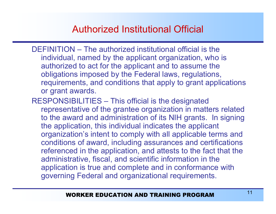#### Authorized Institutional Official

- DEFINITION The authorized institutional official is the individual, named by the applicant organization, who is authorized to act for the applicant and to assume the obligations imposed by the Federal laws, regulations, requirements, and conditions that apply to grant applications or grant awards.
- RESPONSIBILITIES This official is the designated representative of the grantee organization in matters related to the award and administration of its NIH grants. In signing the application, this individual indicates the applicant organization's intent to comply with all applicable terms and conditions of award, including assurances and certifications referenced in the application, and attests to the fact that the administrative, fiscal, and scientific information in the application is true and complete and in conformance with governing Federal and organizational requirements.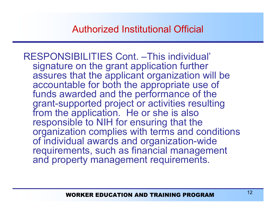RESPONSIBILITIES Cont. –This individual' signature on the grant application further assures that the applicant organization will be accountable for both the appropriate use of funds awarded and the performance of the grant-supported project or activities resulting from the application. He or she is also responsible to NIH for ensuring that the organization complies with terms and conditions of individual awards and organization-wide requirements, such as financial management and property management requirements.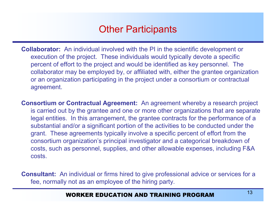#### Other Participants

- **Collaborator:** An individual involved with the PI in the scientific development or execution of the project. These individuals would typically devote <sup>a</sup> specific percent of effort to the project and would be identified as key personnel. The collaborator may be employed by, or affiliated with, either the grantee organization or an organization participating in the project under <sup>a</sup> consortium or contractual agreement.
- **Consortium or Contractual Agreement:** An agreement whereby a research project is carried out by the grantee and one or more other organizations that are separate legal entities. In this arrangement, the grantee contracts for the performance of <sup>a</sup> substantial and/or a significant portion of the activities to be conducted under the grant. These agreements typically involve <sup>a</sup> specific percent of effort from the consortium organization's principal investigator and <sup>a</sup> categorical breakdown of costs, such as personnel, supplies, and other allowable expenses, including F&A costs.

**Consultant:** An individual or firms hired to give professional advice or services for a fee, normally not as an employee of the hiring party.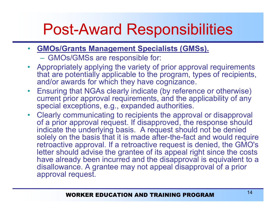# Post-Award Responsibilities

- GMOs/Grants Management Specialists (GMSs).
	- GMOs/GMSs are responsible for:
- Appropriately applying the variety of prior approval requirements that are potentially applicable to the program, types of recipients, and/or awards for which they have cognizance.
- Ensuring that NGAs clearly indicate (by reference or otherwise) current prior approval requirements, and the applicability of any special exceptions, e.g., expanded authorities.
- Clearly communicating to recipients the approval or disapproval of a prior approval request. If disapproved, the response should indicate the underlying basis. A request should not be denied solely on the basis that it is made after-the-fact and would require retroactive approval. If a retroactive request is denied, the GMO's letter should advise the grantee of its appeal right since the costs have already been incurred and the disapproval is equivalent to a disallowance. A grantee may not appeal disapproval of a prior approval request.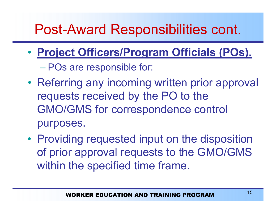- • Project Officers/Program Officials (POs). POs are responsible for:
- •• Referring any incoming written prior approval requests received by the PO to the GMO/GMS for correspondence control purposes.
- Providing requested input on the disposition of prior approval requests to the GMO/GMS within the specified time frame.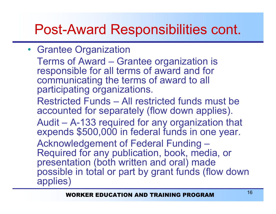• Grantee Organization

Terms of Award – Grantee organization is responsible for all terms of award and for communicating the terms of award to all participating organizations.

Restricted Funds – All restricted funds must be accounted for separately (flow down applies).

Audit –– A-133 required for any organization that expends \$500,000 in federal funds in one year.

Acknowledgement of Federal Funding  $\overline{\phantom{a}}$ Required for any publication, book, media, or presentation (both written and oral) made possible in total or part by grant funds (flow down applies)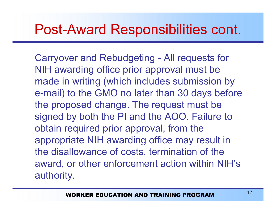Carryover and Rebudgeting - All requests for NIH awarding office prior approval must be made in writing (which includes submission by e-mail) to the GMO no later than 30 days before the proposed change. The request must be signed by both the PI and the AOO. Failure to obtain required prior approval, from the appropriate NIH awarding office may result in the disallowance of costs, termination of the award, or other enforcement action within NIH's authority.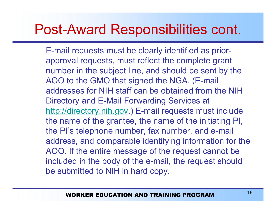E-mail requests must be clearly identified as priorapproval requests, must reflect the complete grant number in the subject line, and should be sent by the AOO to the GMO that signed the NGA. (E-mail addresses for NIH staff can be obtained from the NIH Directory and E-Mail Forwarding Services at http://directory.nih.gov.) E-mail requests must include the name of the grantee, the name of the initiating PI, the PI's telephone number, fax number, and e-mail address, and comparable identifying information for the AOO. If the entire message of the request cannot be included in the body of the e-mail, the request should be submitted to NIH in hard copy.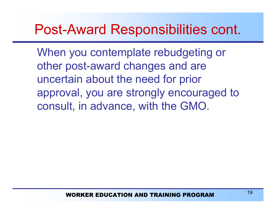When you contemplate rebudgeting or other post-award changes and are uncertain about the need for prior approval, you are strongly encouraged to consult, in advance, with the GMO.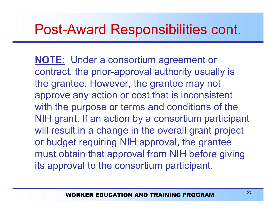NOTE: Under a consortium agreement or contract, the prior-approval authority usually is the grantee. However, the grantee may not approve any action or cost that is inconsistent with the purpose or terms and conditions of the NIH grant. If an action by <sup>a</sup> consortium participant will result in <sup>a</sup> change in the overall grant project or budget requiring NIH approval, the grantee must obtain that approval from NIH before giving its approval to the consortium participant.